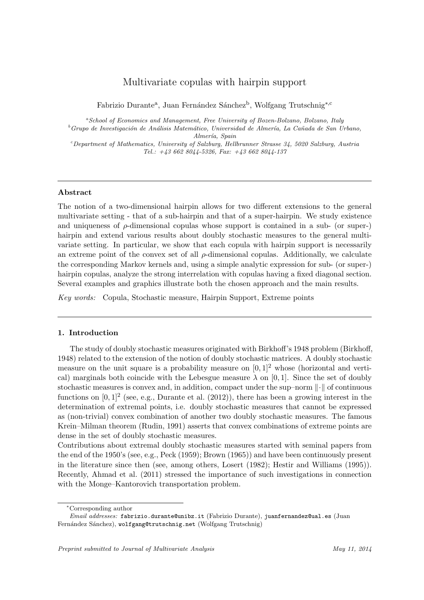# Multivariate copulas with hairpin support

Fabrizio Durante<sup>a</sup>, Juan Fernández Sánchez<sup>b</sup>, Wolfgang Trutschnig<sup>∗,c</sup>

*<sup>a</sup>School of Economics and Management, Free University of Bozen-Bolzano, Bolzano, Italy* <sup>*b*</sup> Grupo de Investigación de Análisis Matemático, Universidad de Almería, La Cañada de San Urbano, *Almer´ıa, Spain*

*<sup>c</sup>Department of Mathematics, University of Salzburg, Hellbrunner Strasse 34, 5020 Salzburg, Austria Tel.: +43 662 8044-5326, Fax: +43 662 8044-137*

# **Abstract**

The notion of a two-dimensional hairpin allows for two different extensions to the general multivariate setting - that of a sub-hairpin and that of a super-hairpin. We study existence and uniqueness of  $\rho$ -dimensional copulas whose support is contained in a sub- (or super-) hairpin and extend various results about doubly stochastic measures to the general multivariate setting. In particular, we show that each copula with hairpin support is necessarily an extreme point of the convex set of all *ρ*-dimensional copulas. Additionally, we calculate the corresponding Markov kernels and, using a simple analytic expression for sub- (or super-) hairpin copulas, analyze the strong interrelation with copulas having a fixed diagonal section. Several examples and graphics illustrate both the chosen approach and the main results.

*Key words:* Copula, Stochastic measure, Hairpin Support, Extreme points

### **1. Introduction**

The study of doubly stochastic measures originated with Birkhoff's 1948 problem (Birkhoff, 1948) related to the extension of the notion of doubly stochastic matrices. A doubly stochastic measure on the unit square is a probability measure on  $[0, 1]^2$  whose (horizontal and vertical) marginals both coincide with the Lebesgue measure  $\lambda$  on [0, 1]. Since the set of doubly stochastic measures is convex and, in addition, compact under the sup–norm *∥·∥* of continuous functions on  $[0,1]^2$  (see, e.g., Durante et al.  $(2012)$ ), there has been a growing interest in the determination of extremal points, i.e. doubly stochastic measures that cannot be expressed as (non-trivial) convex combination of another two doubly stochastic measures. The famous Krein–Milman theorem (Rudin, 1991) asserts that convex combinations of extreme points are dense in the set of doubly stochastic measures.

Contributions about extremal doubly stochastic measures started with seminal papers from the end of the 1950's (see, e.g., Peck (1959); Brown (1965)) and have been continuously present in the literature since then (see, among others, Losert (1982); Hestir and Williams (1995)). Recently, Ahmad et al. (2011) stressed the importance of such investigations in connection with the Monge–Kantorovich transportation problem.

*<sup>∗</sup>*Corresponding author

*Email addresses:* fabrizio.durante@unibz.it (Fabrizio Durante), juanfernandez@ual.es (Juan Fernández Sánchez), wolfgang@trutschnig.net (Wolfgang Trutschnig)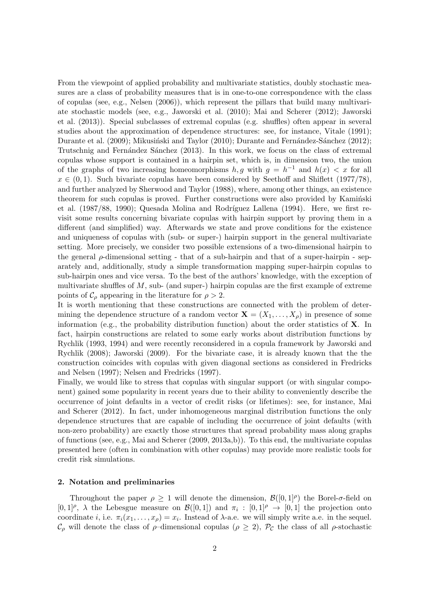From the viewpoint of applied probability and multivariate statistics, doubly stochastic measures are a class of probability measures that is in one-to-one correspondence with the class of copulas (see, e.g., Nelsen (2006)), which represent the pillars that build many multivariate stochastic models (see, e.g., Jaworski et al. (2010); Mai and Scherer (2012); Jaworski et al. (2013)). Special subclasses of extremal copulas (e.g. shuffles) often appear in several studies about the approximation of dependence structures: see, for instance, Vitale (1991); Durante et al. (2009); Mikusiński and Taylor (2010); Durante and Fernández-Sánchez (2012); Trutschnig and Fernández Sánchez (2013). In this work, we focus on the class of extremal copulas whose support is contained in a hairpin set, which is, in dimension two, the union of the graphs of two increasing homeomorphisms  $h, g$  with  $g = h^{-1}$  and  $h(x) < x$  for all  $x \in (0,1)$ . Such bivariate copulas have been considered by Seethoff and Shiflett (1977/78), and further analyzed by Sherwood and Taylor (1988), where, among other things, an existence theorem for such copulas is proved. Further constructions were also provided by Kamin'ski et al. (1987/88, 1990); Quesada Molina and Rodríguez Lallena (1994). Here, we first revisit some results concerning bivariate copulas with hairpin support by proving them in a different (and simplified) way. Afterwards we state and prove conditions for the existence and uniqueness of copulas with (sub- or super-) hairpin support in the general multivariate setting. More precisely, we consider two possible extensions of a two-dimensional hairpin to the general *ρ*-dimensional setting - that of a sub-hairpin and that of a super-hairpin - separately and, additionally, study a simple transformation mapping super-hairpin copulas to sub-hairpin ones and vice versa. To the best of the authors' knowledge, with the exception of multivariate shuffles of *M*, sub- (and super-) hairpin copulas are the first example of extreme points of  $\mathcal{C}_{\rho}$  appearing in the literature for  $\rho > 2$ .

It is worth mentioning that these constructions are connected with the problem of determining the dependence structure of a random vector  $\mathbf{X} = (X_1, \ldots, X_\rho)$  in presence of some information (e.g., the probability distribution function) about the order statistics of **X**. In fact, hairpin constructions are related to some early works about distribution functions by Rychlik (1993, 1994) and were recently reconsidered in a copula framework by Jaworski and Rychlik (2008); Jaworski (2009). For the bivariate case, it is already known that the the construction coincides with copulas with given diagonal sections as considered in Fredricks and Nelsen (1997); Nelsen and Fredricks (1997).

Finally, we would like to stress that copulas with singular support (or with singular component) gained some popularity in recent years due to their ability to conveniently describe the occurrence of joint defaults in a vector of credit risks (or lifetimes): see, for instance, Mai and Scherer (2012). In fact, under inhomogeneous marginal distribution functions the only dependence structures that are capable of including the occurrence of joint defaults (with non-zero probability) are exactly those structures that spread probability mass along graphs of functions (see, e.g., Mai and Scherer (2009, 2013a,b)). To this end, the multivariate copulas presented here (often in combination with other copulas) may provide more realistic tools for credit risk simulations.

## **2. Notation and preliminaries**

Throughout the paper  $\rho \geq 1$  will denote the dimension,  $\mathcal{B}([0,1]^{\rho})$  the Borel- $\sigma$ -field on  $[0,1]^{\rho}$ ,  $\lambda$  the Lebesgue measure on  $\mathcal{B}([0,1])$  and  $\pi_i : [0,1]^{\rho} \to [0,1]$  the projection onto coordinate *i*, i.e.  $\pi_i(x_1, \ldots, x_\rho) = x_i$ . Instead of  $\lambda$ -a.e. we will simply write a.e. in the sequel. *C*<sub>*ρ*</sub> will denote the class of *ρ*–dimensional copulas ( $ρ$   $\geq$  2),  $P_C$  the class of all *ρ*-stochastic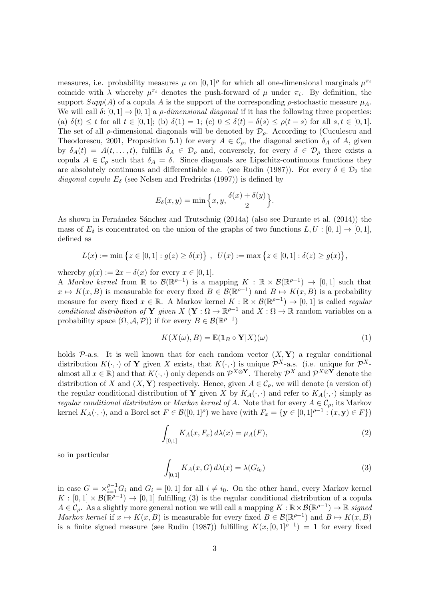measures, i.e. probability measures  $\mu$  on  $[0,1]^\rho$  for which all one-dimensional marginals  $\mu^{\pi_i}$ coincide with  $\lambda$  whereby  $\mu^{\pi_i}$  denotes the push-forward of  $\mu$  under  $\pi_i$ . By definition, the support  $Supp(A)$  of a copula *A* is the support of the corresponding  $\rho$ -stochastic measure  $\mu_A$ . We will call  $\delta$ :  $[0,1] \rightarrow [0,1]$  a *ρ*-dimensional diagonal if it has the following three properties: (a)  $\delta(t) \leq t$  for all  $t \in [0,1]$ ; (b)  $\delta(1) = 1$ ; (c)  $0 \leq \delta(t) - \delta(s) \leq \rho(t-s)$  for all  $s, t \in [0,1]$ . The set of all  $\rho$ -dimensional diagonals will be denoted by  $\mathcal{D}_{\rho}$ . According to (Cuculescu and Theodorescu, 2001, Proposition 5.1) for every  $A \in \mathcal{C}_{\rho}$ , the diagonal section  $\delta_A$  of A, given by  $\delta_A(t) = A(t, \ldots, t)$ , fulfills  $\delta_A \in \mathcal{D}_{\rho}$  and, conversely, for every  $\delta \in \mathcal{D}_{\rho}$  there exists a copula  $A \in \mathcal{C}_{\rho}$  such that  $\delta_A = \delta$ . Since diagonals are Lipschitz-continuous functions they are absolutely continuous and differentiable a.e. (see Rudin (1987)). For every  $\delta \in \mathcal{D}_2$  the *diagonal copula*  $E_{\delta}$  (see Nelsen and Fredricks (1997)) is defined by

$$
E_{\delta}(x, y) = \min\left\{x, y, \frac{\delta(x) + \delta(y)}{2}\right\}.
$$

As shown in Fernández Sánchez and Trutschnig (2014a) (also see Durante et al. (2014)) the mass of  $E_{\delta}$  is concentrated on the union of the graphs of two functions  $L, U : [0, 1] \rightarrow [0, 1]$ , defined as

$$
L(x) := \min \left\{ z \in [0,1] : g(z) \ge \delta(x) \right\}, \ \ U(x) := \max \left\{ z \in [0,1] : \delta(z) \ge g(x) \right\},\
$$

whereby  $g(x) := 2x - \delta(x)$  for every  $x \in [0, 1]$ .

A *Markov kernel* from  $\mathbb R$  to  $\mathcal{B}(\mathbb{R}^{p-1})$  is a mapping  $K : \mathbb R \times \mathcal{B}(\mathbb{R}^{p-1}) \to [0,1]$  such that  $x \mapsto K(x, B)$  is measurable for every fixed  $B \in \mathcal{B}(\mathbb{R}^{p-1})$  and  $B \mapsto K(x, B)$  is a probability measure for every fixed  $x \in \mathbb{R}$ . A Markov kernel  $K : \mathbb{R} \times \mathcal{B}(\mathbb{R}^{p-1}) \to [0,1]$  is called *regular conditional distribution of* **Y** *given*  $X$  (**Y** :  $\Omega \to \mathbb{R}^{p-1}$  and  $X : \Omega \to \mathbb{R}$  random variables on a probability space  $(\Omega, \mathcal{A}, \mathcal{P})$  if for every  $B \in \mathcal{B}(\mathbb{R}^{p-1})$ 

$$
K(X(\omega), B) = \mathbb{E}(\mathbf{1}_B \circ \mathbf{Y}|X)(\omega)
$$
\n(1)

holds  $P$ -a.s. It is well known that for each random vector  $(X, Y)$  a regular conditional distribution  $K(\cdot, \cdot)$  of **Y** given X exists, that  $K(\cdot, \cdot)$  is unique  $\mathcal{P}^{X}$ -a.s. (i.e. unique for  $\mathcal{P}^{X}$ almost all  $x \in \mathbb{R}$ ) and that  $K(\cdot, \cdot)$  only depends on  $\mathcal{P}^{X \otimes Y}$ . Thereby  $\mathcal{P}^{X}$  and  $\mathcal{P}^{X \otimes Y}$  denote the distribution of *X* and  $(X, Y)$  respectively. Hence, given  $A \in \mathcal{C}_{\rho}$ , we will denote (a version of) the regular conditional distribution of **Y** given *X* by  $K_A(\cdot, \cdot)$  and refer to  $K_A(\cdot, \cdot)$  simply as *regular conditional distribution* or *Markov kernel of A*. Note that for every  $A \in \mathcal{C}_\rho$ , its Markov kernel  $K_A(\cdot, \cdot)$ , and a Borel set  $F \in \mathcal{B}([0,1]^{\rho})$  we have (with  $F_x = \{ \mathbf{y} \in [0,1]^{\rho-1} : (x, \mathbf{y}) \in F \}$ )

$$
\int_{[0,1]} K_A(x, F_x) \, d\lambda(x) = \mu_A(F),\tag{2}
$$

so in particular

$$
\int_{[0,1]} K_A(x, G) d\lambda(x) = \lambda(G_{i_0})
$$
\n(3)

in case  $G = \times_{i=1}^{\rho-1} G_i$  and  $G_i = [0,1]$  for all  $i \neq i_0$ . On the other hand, every Markov kernel  $K : [0,1] \times \mathcal{B}(\mathbb{R}^{p-1}) \to [0,1]$  fulfilling (3) is the regular conditional distribution of a copula  $A \in \mathcal{C}_\rho$ . As a slightly more general notion we will call a mapping  $K : \mathbb{R} \times \mathcal{B}(\mathbb{R}^{\rho-1}) \to \mathbb{R}$  *signed Markov kernel* if  $x \mapsto K(x, B)$  is measurable for every fixed  $B \in \mathcal{B}(\mathbb{R}^{p-1})$  and  $B \mapsto K(x, B)$ is a finite signed measure (see Rudin (1987)) fulfilling  $K(x, [0, 1]^{p-1}) = 1$  for every fixed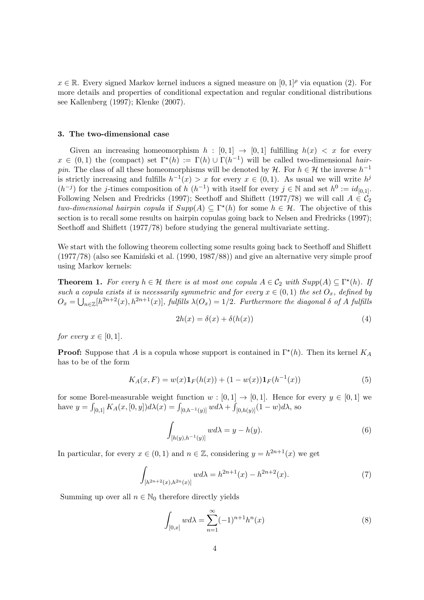$x \in \mathbb{R}$ . Every signed Markov kernel induces a signed measure on  $[0, 1]^{\rho}$  via equation (2). For more details and properties of conditional expectation and regular conditional distributions see Kallenberg (1997); Klenke (2007).

#### **3. The two-dimensional case**

Given an increasing homeomorphism  $h : [0,1] \rightarrow [0,1]$  fulfilling  $h(x) < x$  for every  $x \in (0,1)$  the (compact) set  $\Gamma^*(h) := \Gamma(h) \cup \Gamma(h^{-1})$  will be called two-dimensional *hairpin*. The class of all these homeomorphisms will be denoted by *H*. For  $h \in H$  the inverse  $h^{-1}$ is strictly increasing and fulfills  $h^{-1}(x) > x$  for every  $x \in (0,1)$ . As usual we will write  $h^{j}$  $(h^{-j})$  for the *j*-times composition of *h*  $(h^{-1})$  with itself for every *j* ∈ N and set  $h^0 := id_{[0,1]}$ . Following Nelsen and Fredricks (1997); Seethoff and Shiflett (1977/78) we will call  $A \in \mathcal{C}_2$ *two-dimensional hairpin copula* if  $Supp(A) \subseteq \Gamma^*(h)$  for some  $h \in \mathcal{H}$ . The objective of this section is to recall some results on hairpin copulas going back to Nelsen and Fredricks (1997); Seethoff and Shiflett (1977/78) before studying the general multivariate setting.

We start with the following theorem collecting some results going back to Seethoff and Shiflett  $(1977/78)$  (also see Kaminski et al.  $(1990, 1987/88)$ ) and give an alternative very simple proof using Markov kernels:

**Theorem 1.** For every  $h \in \mathcal{H}$  there is at most one copula  $A \in \mathcal{C}_2$  with  $Supp(A) \subseteq \Gamma^*(h)$ . If *such a copula exists it is necessarily symmetric and for every*  $x \in (0,1)$  *the set*  $O_x$ *, defined by*  $O_x = \bigcup_{n \in \mathbb{Z}} [h^{2n+2}(x), h^{2n+1}(x)],$  fulfills  $\lambda(O_x) = 1/2$ . Furthermore the diagonal  $\delta$  of A fulfills

$$
2h(x) = \delta(x) + \delta(h(x))
$$
\n(4)

*for every*  $x \in [0,1]$ *.* 

**Proof:** Suppose that *A* is a copula whose support is contained in  $\Gamma^*(h)$ . Then its kernel  $K_A$ has to be of the form

$$
K_A(x, F) = w(x)\mathbf{1}_F(h(x)) + (1 - w(x))\mathbf{1}_F(h^{-1}(x))
$$
\n(5)

for some Borel-measurable weight function  $w : [0,1] \rightarrow [0,1]$ . Hence for every  $y \in [0,1]$  we have  $y = \int_{[0,1]} K_A(x,[0,y]) d\lambda(x) = \int_{[0,h^{-1}(y)]} w d\lambda + \int_{[0,h(y)]} (1-w) d\lambda$ , so

$$
\int_{[h(y),h^{-1}(y)]} w d\lambda = y - h(y). \tag{6}
$$

In particular, for every  $x \in (0,1)$  and  $n \in \mathbb{Z}$ , considering  $y = h^{2n+1}(x)$  we get

$$
\int_{[h^{2n+2}(x),h^{2n}(x)]} w d\lambda = h^{2n+1}(x) - h^{2n+2}(x). \tag{7}
$$

Summing up over all  $n \in \mathbb{N}_0$  therefore directly yields

$$
\int_{[0,x]} w d\lambda = \sum_{n=1}^{\infty} (-1)^{n+1} h^n(x)
$$
\n(8)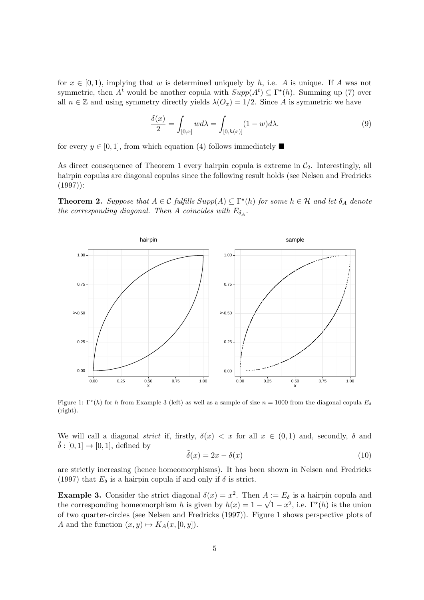for  $x \in [0, 1)$ , implying that *w* is determined uniquely by *h*, i.e. *A* is unique. If *A* was not symmetric, then  $A^t$  would be another copula with  $Supp(A^t) \subseteq \Gamma^*(h)$ . Summing up (7) over all  $n \in \mathbb{Z}$  and using symmetry directly yields  $\lambda(O_x) = 1/2$ . Since *A* is symmetric we have

$$
\frac{\delta(x)}{2} = \int_{[0,x]} w d\lambda = \int_{[0,h(x)]} (1-w) d\lambda.
$$
 (9)

for every  $y \in [0, 1]$ , from which equation (4) follows immediately

As direct consequence of Theorem 1 every hairpin copula is extreme in  $C_2$ . Interestingly, all hairpin copulas are diagonal copulas since the following result holds (see Nelsen and Fredricks  $(1997)$ :

**Theorem 2.** Suppose that  $A \in \mathcal{C}$  fulfills  $Supp(A) \subseteq \Gamma^*(h)$  for some  $h \in \mathcal{H}$  and let  $\delta_A$  denote *the corresponding diagonal. Then A coincides with*  $E_{\delta_A}$ .



Figure 1:  $\Gamma^*(h)$  for *h* from Example 3 (left) as well as a sample of size  $n = 1000$  from the diagonal copula  $E_\delta$ (right).

We will call a diagonal *strict* if, firstly,  $\delta(x) < x$  for all  $x \in (0,1)$  and, secondly,  $\delta$  and  $\delta$  : [0, 1]  $\rightarrow$  [0, 1], defined by

$$
\tilde{\delta}(x) = 2x - \delta(x) \tag{10}
$$

are strictly increasing (hence homeomorphisms). It has been shown in Nelsen and Fredricks (1997) that  $E_{\delta}$  is a hairpin copula if and only if  $\delta$  is strict.

**Example 3.** Consider the strict diagonal  $\delta(x) = x^2$ . Then  $A := E_{\delta}$  is a hairpin copula and the corresponding homeomorphism *h* is given by  $h(x) = 1 - \sqrt{1 - x^2}$ , i.e.  $\Gamma^*(h)$  is the union of two quarter-circles (see Nelsen and Fredricks (1997)). Figure 1 shows perspective plots of *A* and the function  $(x, y) \mapsto K_A(x, [0, y])$ .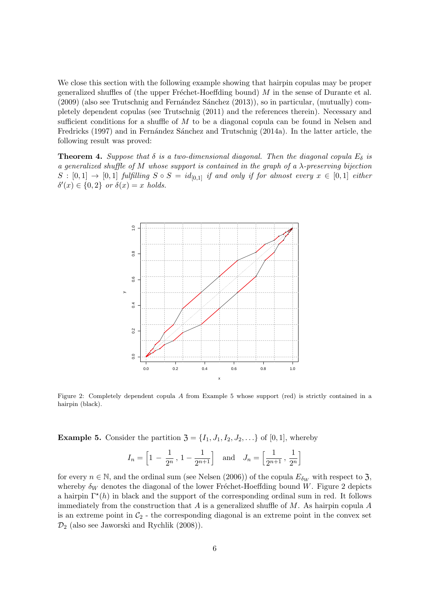We close this section with the following example showing that hairpin copulas may be proper generalized shuffles of (the upper Fréchet-Hoeffding bound)  $M$  in the sense of Durante et al.  $(2009)$  (also see Trutschnig and Fernández Sánchez  $(2013)$ ), so in particular, (mutually) completely dependent copulas (see Trutschnig (2011) and the references therein). Necessary and sufficient conditions for a shuffle of *M* to be a diagonal copula can be found in Nelsen and Fredricks (1997) and in Fernández Sánchez and Trutschnig (2014a). In the latter article, the following result was proved:

**Theorem 4.** *Suppose that*  $\delta$  *is a two-dimensional diagonal. Then the diagonal copula*  $E_{\delta}$  *is a generalized shuffle of M whose support is contained in the graph of a λ-preserving bijection*  $S : [0,1] \rightarrow [0,1]$  *fulfilling*  $S \circ S = id_{[0,1]}$  *if and only if for almost every*  $x \in [0,1]$  *either*  $\delta'(x) \in \{0, 2\}$  *or*  $\delta(x) = x$  *holds.* 



Figure 2: Completely dependent copula *A* from Example 5 whose support (red) is strictly contained in a hairpin (black).

**Example 5.** Consider the partition  $\mathfrak{Z} = \{I_1, J_1, I_2, J_2, \ldots\}$  of [0, 1], whereby

$$
I_n = \left[1 - \frac{1}{2^n}, 1 - \frac{1}{2^{n+1}}\right]
$$
 and  $J_n = \left[\frac{1}{2^{n+1}}, \frac{1}{2^n}\right]$ 

for every  $n \in \mathbb{N}$ , and the ordinal sum (see Nelsen (2006)) of the copula  $E_{\delta_W}$  with respect to 3, whereby  $\delta_W$  denotes the diagonal of the lower Fréchet-Hoeffding bound *W*. Figure 2 depicts a hairpin  $\Gamma^*(h)$  in black and the support of the corresponding ordinal sum in red. It follows immediately from the construction that *A* is a generalized shuffle of *M*. As hairpin copula *A* is an extreme point in  $C_2$  - the corresponding diagonal is an extreme point in the convex set *D*<sup>2</sup> (also see Jaworski and Rychlik (2008)).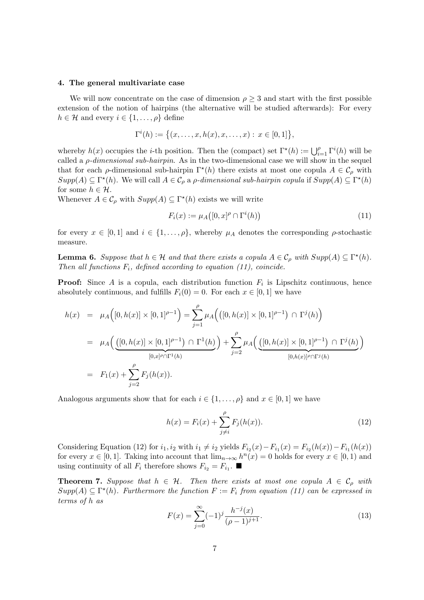#### **4. The general multivariate case**

We will now concentrate on the case of dimension  $\rho \geq 3$  and start with the first possible extension of the notion of hairpins (the alternative will be studied afterwards): For every  $h \in \mathcal{H}$  and every  $i \in \{1, \ldots, \rho\}$  define

$$
\Gamma^{i}(h) := \{(x, \ldots, x, h(x), x, \ldots, x) : x \in [0, 1]\},\
$$

whereby  $h(x)$  occupies the *i*-th position. Then the (compact) set  $\Gamma^*(h) := \bigcup_{i=1}^{\rho} \Gamma^i(h)$  will be called a *ρ-dimensional sub-hairpin*. As in the two-dimensional case we will show in the sequel that for each *ρ*-dimensional sub-hairpin  $\Gamma^*(h)$  there exists at most one copula  $A \in \mathcal{C}_{\rho}$  with  $Supp(A) \subseteq \Gamma^*(h)$ . We will call  $A \in \mathcal{C}_\rho$  a  $\rho$ *-dimensional sub-hairpin copula* if  $Supp(A) \subseteq \Gamma^*(h)$ for some  $h \in \mathcal{H}$ .

Whenever  $A \in \mathcal{C}_{\rho}$  with  $Supp(A) \subseteq \Gamma^*(h)$  exists we will write

$$
F_i(x) := \mu_A([0, x]^\rho \cap \Gamma^i(h)) \tag{11}
$$

for every  $x \in [0,1]$  and  $i \in \{1,\ldots,\rho\}$ , whereby  $\mu_A$  denotes the corresponding  $\rho$ -stochastic measure.

**Lemma 6.** *Suppose that*  $h \in \mathcal{H}$  *and that there exists a copula*  $A \in \mathcal{C}_{\rho}$  *with*  $Supp(A) \subseteq \Gamma^*(h)$ *. Then all functions Fi, defined according to equation (11), coincide.*

**Proof:** Since A is a copula, each distribution function  $F_i$  is Lipschitz continuous, hence absolutely continuous, and fulfills  $F_i(0) = 0$ . For each  $x \in [0, 1]$  we have

$$
h(x) = \mu_A([0, h(x)] \times [0, 1]^{p-1}) = \sum_{j=1}^{\rho} \mu_A(([0, h(x)] \times [0, 1]^{p-1}) \cap \Gamma^j(h))
$$
  
= 
$$
\mu_A\left(\underbrace{([0, h(x)] \times [0, 1]^{p-1}) \cap \Gamma^1(h)}_{[0, x]^p \cap \Gamma^1(h)}\right) + \sum_{j=2}^{\rho} \mu_A\left(\underbrace{([0, h(x)] \times [0, 1]^{p-1}) \cap \Gamma^j(h)}_{[0, h(x)]^p \cap \Gamma^j(h)}\right)
$$
  
= 
$$
F_1(x) + \sum_{j=2}^{\rho} F_j(h(x)).
$$

Analogous arguments show that for each  $i \in \{1, \ldots, \rho\}$  and  $x \in [0, 1]$  we have

$$
h(x) = F_i(x) + \sum_{j \neq i}^{\rho} F_j(h(x)).
$$
\n(12)

Considering Equation (12) for  $i_1, i_2$  with  $i_1 \neq i_2$  yields  $F_{i_2}(x) - F_{i_1}(x) = F_{i_2}(h(x)) - F_{i_1}(h(x))$ for every  $x \in [0, 1]$ . Taking into account that  $\lim_{n\to\infty} h^n(x) = 0$  holds for every  $x \in [0, 1)$  and using continuity of all  $F_i$  therefore shows  $F_{i_2} = F_{i_1}$ .

**Theorem 7.** Suppose that  $h \in \mathcal{H}$ . Then there exists at most one copula  $A \in \mathcal{C}_\rho$  with  $Supp(A) \subseteq \Gamma^*(h)$ . Furthermore the function  $F := F_i$  from equation (11) can be expressed in *terms of h as*

$$
F(x) = \sum_{j=0}^{\infty} (-1)^j \frac{h^{-j}(x)}{(\rho - 1)^{j+1}}.
$$
\n(13)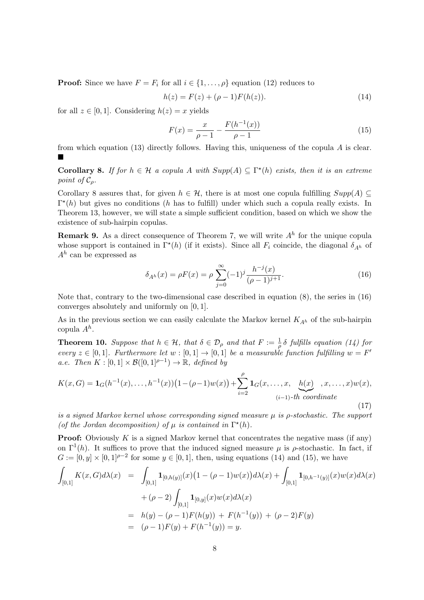**Proof:** Since we have  $F = F_i$  for all  $i \in \{1, \ldots, \rho\}$  equation (12) reduces to

$$
h(z) = F(z) + (\rho - 1)F(h(z)).
$$
\n(14)

for all  $z \in [0, 1]$ . Considering  $h(z) = x$  yields

$$
F(x) = \frac{x}{\rho - 1} - \frac{F(h^{-1}(x))}{\rho - 1}
$$
\n(15)

from which equation (13) directly follows. Having this, uniqueness of the copula *A* is clear. Е

**Corollary 8.** *If for*  $h \in \mathcal{H}$  *a copula*  $A$  *with*  $Supp(A) \subseteq \Gamma^*(h)$  *exists, then it is an extreme point of*  $\mathcal{C}_\rho$ *.* 

Corollary 8 assures that, for given  $h \in \mathcal{H}$ , there is at most one copula fulfilling  $Supp(A) \subseteq$ Γ *⋆* (*h*) but gives no conditions (*h* has to fulfill) under which such a copula really exists. In Theorem 13, however, we will state a simple sufficient condition, based on which we show the existence of sub-hairpin copulas.

**Remark 9.** As a direct consequence of Theorem 7, we will write *A<sup>h</sup>* for the unique copula whose support is contained in  $\Gamma^*(h)$  (if it exists). Since all  $F_i$  coincide, the diagonal  $\delta_{A^h}$  of *A<sup>h</sup>* can be expressed as

$$
\delta_{A^h}(x) = \rho F(x) = \rho \sum_{j=0}^{\infty} (-1)^j \frac{h^{-j}(x)}{(\rho - 1)^{j+1}}.
$$
\n(16)

Note that, contrary to the two-dimensional case described in equation  $(8)$ , the series in  $(16)$ converges absolutely and uniformly on [0*,* 1].

As in the previous section we can easily calculate the Markov kernel *KA<sup>h</sup>* of the sub-hairpin copula *A<sup>h</sup>* .

**Theorem 10.** *Suppose that*  $h \in H$ *, that*  $\delta \in \mathcal{D}_{\rho}$  *and that*  $F := \frac{1}{\rho} \delta$  *fulfills equation (14) for every*  $z \in [0,1]$ *. Furthermore let*  $w : [0,1] \to [0,1]$  *be a measurable function fulfilling*  $w = F'$ *a.e. Then*  $K : [0,1] \times \mathcal{B}([0,1]^{p-1}) \to \mathbb{R}$ *, defined by* 

$$
K(x, G) = \mathbf{1}_G(h^{-1}(x), \dots, h^{-1}(x))\left(1 - (\rho - 1)w(x)\right) + \sum_{i=2}^{\rho} \mathbf{1}_G(x, \dots, x, \underbrace{h(x)}_{(i-1)-th \ coordinate}, x, \dots, x)w(x),
$$
\n(17)

*is a signed Markov kernel whose corresponding signed measure µ is ρ-stochastic. The support* (*of the Jordan decomposition*) of  $\mu$  *is contained in*  $\Gamma^*(h)$ *.* 

**Proof:** Obviously K is a signed Markov kernel that concentrates the negative mass (if any) on  $\Gamma^1(h)$ . It suffices to prove that the induced signed measure  $\mu$  is  $\rho$ -stochastic. In fact, if  $G := [0, y] \times [0, 1]^{p-2}$  for some  $y \in [0, 1]$ , then, using equations (14) and (15), we have

$$
\int_{[0,1]} K(x, G) d\lambda(x) = \int_{[0,1]} \mathbf{1}_{[0,h(y)]}(x) (1 - (\rho - 1)w(x)) d\lambda(x) + \int_{[0,1]} \mathbf{1}_{[0,h^{-1}(y)]}(x)w(x) d\lambda(x)
$$
  
+ (\rho - 2) \int\_{[0,1]} \mathbf{1}\_{[0,y]}(x)w(x) d\lambda(x)  
= h(y) - (\rho - 1)F(h(y)) + F(h^{-1}(y)) + (\rho - 2)F(y)  
= (\rho - 1)F(y) + F(h^{-1}(y)) = y.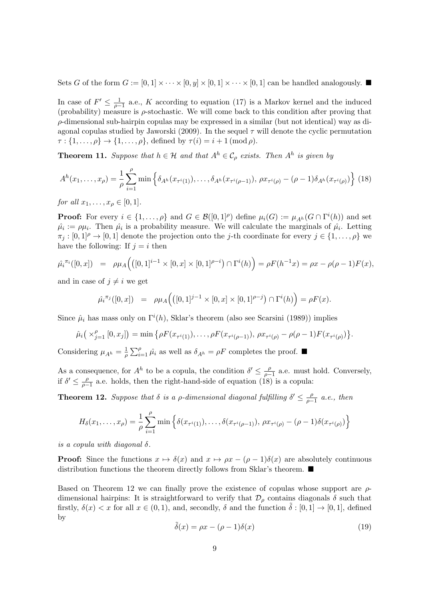Sets *G* of the form  $G := [0, 1] \times \cdots \times [0, y] \times [0, 1] \times \cdots \times [0, 1]$  can be handled analogously.

In case of  $F' \leq \frac{1}{a}$  $\frac{1}{\rho-1}$  a.e., *K* according to equation (17) is a Markov kernel and the induced (probability) measure is *ρ*-stochastic. We will come back to this condition after proving that *ρ*-dimensional sub-hairpin copulas may be expressed in a similar (but not identical) way as diagonal copulas studied by Jaworski (2009). In the sequel *τ* will denote the cyclic permutation  $\tau : \{1, \ldots, \rho\} \to \{1, \ldots, \rho\}$ , defined by  $\tau(i) = i + 1 \pmod{\rho}$ .

**Theorem 11.** *Suppose that*  $h \in \mathcal{H}$  *and that*  $A^h \in \mathcal{C}_\rho$  *exists. Then*  $A^h$  *is given by* 

$$
A^{h}(x_{1},...,x_{\rho}) = \frac{1}{\rho} \sum_{i=1}^{\rho} \min \left\{ \delta_{A^{h}}(x_{\tau^{i}(1)}), \ldots, \delta_{A^{h}}(x_{\tau^{i}(\rho-1)}), \, \rho x_{\tau^{i}(\rho)} - (\rho - 1)\delta_{A^{h}}(x_{\tau^{i}(\rho)}) \right\} (18)
$$

*for all*  $x_1, \ldots, x_p \in [0, 1]$ *.* 

**Proof:** For every  $i \in \{1, ..., \rho\}$  and  $G \in \mathcal{B}([0,1]^{\rho})$  define  $\mu_i(G) := \mu_{A^h}(G \cap \Gamma^i(h))$  and set  $\hat{\mu}_i := \rho \mu_i$ . Then  $\hat{\mu}_i$  is a probability measure. We will calculate the marginals of  $\hat{\mu}_i$ . Letting  $\pi_j : [0,1]^{\rho} \to [0,1]$  denote the projection onto the *j*-th coordinate for every  $j \in \{1,\ldots,\rho\}$  we have the following: If  $j = i$  then

$$
\hat{\mu_i}^{\pi_i}([0, x]) = \rho \mu_A(([0, 1]^{i-1} \times [0, x] \times [0, 1]^{\rho - i}) \cap \Gamma^i(h)) = \rho F(h^{-1}x) = \rho x - \rho(\rho - 1)F(x),
$$

and in case of  $j \neq i$  we get

$$
\hat{\mu_i}^{\pi_j}([0, x]) = \rho \mu_A \Big( \big( [0, 1]^{j-1} \times [0, x] \times [0, 1]^{p-j} \big) \cap \Gamma^i(h) \Big) = \rho F(x).
$$

Since  $\hat{\mu}_i$  has mass only on  $\Gamma^i(h)$ , Sklar's theorem (also see Scarsini (1989)) implies

$$
\hat{\mu}_i\big(\times_{j=1}^{\rho} [0,x_j]\big) = \min \big\{\rho F(x_{\tau^i(1)}),\ldots,\rho F(x_{\tau^i(\rho-1)}),\,\rho x_{\tau^i(\rho)} - \rho(\rho-1)F(x_{\tau^i(\rho)})\big\}.
$$

Considering  $\mu_{A^h} = \frac{1}{\rho}$  $\frac{1}{\rho} \sum_{i=1}^{\rho} \hat{\mu}_i$  as well as  $\delta_{A^h} = \rho F$  completes the proof.

As a consequence, for  $A^h$  to be a copula, the condition  $\delta' \leq \frac{\rho}{\delta}$  $\frac{\rho}{\rho - 1}$  a.e. must hold. Conversely, if  $\delta' \leq \frac{\rho}{\rho - \rho}$  $\frac{\rho}{\rho-1}$  a.e. holds, then the right-hand-side of equation (18) is a copula:

**Theorem 12.** *Suppose that*  $\delta$  *is a p-dimensional diagonal fulfilling*  $\delta' \leq \frac{\rho}{\delta - 1}$ *ρ−*1 *a.e., then*

$$
H_{\delta}(x_1, ..., x_{\rho}) = \frac{1}{\rho} \sum_{i=1}^{\rho} \min \left\{ \delta(x_{\tau^i(1)}), ..., \delta(x_{\tau^i(\rho-1)}), \rho x_{\tau^i(\rho)} - (\rho - 1) \delta(x_{\tau^i(\rho)}) \right\}
$$

*is a copula with diagonal*  $\delta$ .

**Proof:** Since the functions  $x \mapsto \delta(x)$  and  $x \mapsto \rho x - (\rho - 1)\delta(x)$  are absolutely continuous distribution functions the theorem directly follows from Sklar's theorem.  $\blacksquare$ 

Based on Theorem 12 we can finally prove the existence of copulas whose support are *ρ*dimensional hairpins: It is straightforward to verify that  $\mathcal{D}_{\rho}$  contains diagonals  $\delta$  such that firstly,  $\delta(x) < x$  for all  $x \in (0,1)$ , and, secondly,  $\delta$  and the function  $\delta : [0,1] \to [0,1]$ , defined by

$$
\tilde{\delta}(x) = \rho x - (\rho - 1)\delta(x) \tag{19}
$$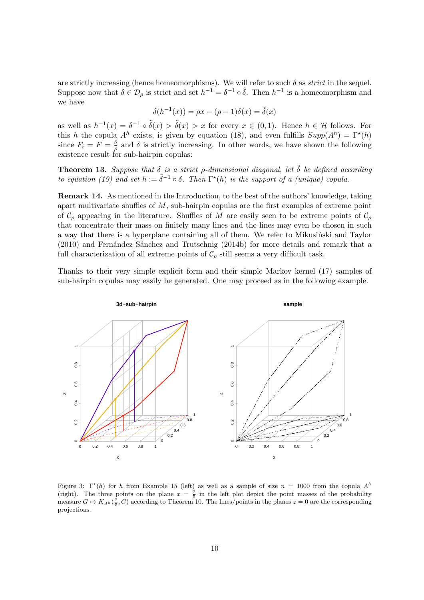are strictly increasing (hence homeomorphisms). We will refer to such  $\delta$  as *strict* in the sequel. Suppose now that  $\delta \in \mathcal{D}_{\rho}$  is strict and set  $h^{-1} = \delta^{-1} \circ \tilde{\delta}$ . Then  $h^{-1}$  is a homeomorphism and we have

$$
\delta(h^{-1}(x)) = \rho x - (\rho - 1)\delta(x) = \tilde{\delta}(x)
$$

as well as  $h^{-1}(x) = \delta^{-1} \circ \tilde{\delta}(x) > \tilde{\delta}(x) > x$  for every  $x \in (0,1)$ . Hence  $h \in \mathcal{H}$  follows. For this *h* the copula  $A^h$  exists, is given by equation (18), and even fulfills  $Supp(A^h) = \Gamma^*(h)$ since  $F_i = F = \frac{\delta}{a}$  $\frac{\delta}{\rho}$  and *δ* is strictly increasing. In other words, we have shown the following existence result for sub-hairpin copulas:

**Theorem 13.** *Suppose that*  $\delta$  *is a strict*  $\rho$ *-dimensional diagonal, let*  $\tilde{\delta}$  *be defined according to equation (19) and set*  $h := \tilde{\delta}^{-1} \circ \delta$ . Then  $\Gamma^*(h)$  *is the support of a (unique) copula.* 

**Remark 14.** As mentioned in the Introduction, to the best of the authors' knowledge, taking apart multivariate shuffles of *M*, sub-hairpin copulas are the first examples of extreme point of  $\mathcal{C}_o$  appearing in the literature. Shuffles of *M* are easily seen to be extreme points of  $\mathcal{C}_o$ that concentrate their mass on finitely many lines and the lines may even be chosen in such a way that there is a hyperplane containing all of them. We refer to Mikusinski and Taylor  $(2010)$  and Fernández Sánchez and Trutschnig  $(2014b)$  for more details and remark that a full characterization of all extreme points of  $C_\rho$  still seems a very difficult task.

Thanks to their very simple explicit form and their simple Markov kernel (17) samples of sub-hairpin copulas may easily be generated. One may proceed as in the following example.



Figure 3:  $\Gamma^*(h)$  for *h* from Example 15 (left) as well as a sample of size  $n = 1000$  from the copula  $A^h$ (right). The three points on the plane  $x = \frac{2}{5}$  in the left plot depict the point masses of the probability measure  $G \mapsto K_{A^h}(\frac{2}{5}, G)$  according to Theorem 10. The lines/points in the planes  $z = 0$  are the corresponding projections.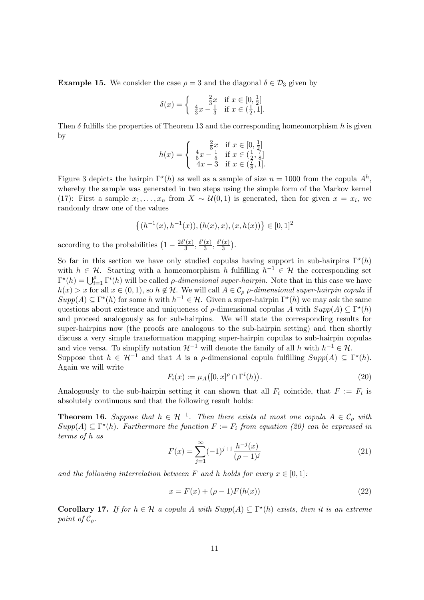**Example 15.** We consider the case  $\rho = 3$  and the diagonal  $\delta \in \mathcal{D}_3$  given by

$$
\delta(x) = \begin{cases} \frac{2}{3}x & \text{if } x \in [0, \frac{1}{2}]\\ \frac{4}{3}x - \frac{1}{3} & \text{if } x \in (\frac{1}{2}, 1]. \end{cases}
$$

Then *δ* fulfills the properties of Theorem 13 and the corresponding homeomorphism *h* is given by

$$
h(x) = \begin{cases} \frac{2}{5}x & \text{if } x \in [0, \frac{1}{2}]\\ \frac{4}{5}x - \frac{1}{5} & \text{if } x \in (\frac{1}{2}, \frac{7}{8}]\\ 4x - 3 & \text{if } x \in (\frac{7}{8}, 1]. \end{cases}
$$

Figure 3 depicts the hairpin  $\Gamma^*(h)$  as well as a sample of size  $n = 1000$  from the copula  $A^h$ , whereby the sample was generated in two steps using the simple form of the Markov kernel (17): First a sample  $x_1, \ldots, x_n$  from  $X \sim \mathcal{U}(0,1)$  is generated, then for given  $x = x_i$ , we randomly draw one of the values

$$
\{(h^{-1}(x), h^{-1}(x)), (h(x), x), (x, h(x))\} \in [0, 1]^2
$$

according to the probabilities  $\left(1 - \frac{2\delta'(x)}{3}\right)$  $\frac{\delta'(x)}{3}, \frac{\delta'(x)}{3}$  $\frac{(x)}{3}, \frac{\delta'(x)}{3}$  $\frac{(x)}{3}$ .

So far in this section we have only studied copulas having support in sub-hairpins  $\Gamma^*(h)$ with  $h \in \mathcal{H}$ . Starting with a homeomorphism *h* fulfilling  $h^{-1} \in \mathcal{H}$  the corresponding set  $\Gamma^*(h) = \bigcup_{i=1}^{\rho} \Gamma^i(h)$  will be called *ρ-dimensional super-hairpin*. Note that in this case we have  $h(x) > x$  for all  $x \in (0,1)$ , so  $h \notin \mathcal{H}$ . We will call  $A \in \mathcal{C}_{\rho}$  *ρ-dimensional super-hairpin copula* if  $Supp(A) \subseteq \Gamma^*(h)$  for some *h* with  $h^{-1} \in \mathcal{H}$ . Given a super-hairpin  $\Gamma^*(h)$  we may ask the same questions about existence and uniqueness of  $\rho$ -dimensional copulas *A* with  $Supp(A) \subseteq \Gamma^*(h)$ and proceed analogously as for sub-hairpins. We will state the corresponding results for super-hairpins now (the proofs are analogous to the sub-hairpin setting) and then shortly discuss a very simple transformation mapping super-hairpin copulas to sub-hairpin copulas and vice versa. To simplify notation  $\mathcal{H}^{-1}$  will denote the family of all *h* with  $h^{-1} \in \mathcal{H}$ . Suppose that  $h \in \mathcal{H}^{-1}$  and that *A* is a *ρ*-dimensional copula fulfilling  $Supp(A) \subseteq \Gamma^*(h)$ . Again we will write

$$
F_i(x) := \mu_A([0, x]^\rho \cap \Gamma^i(h)).\tag{20}
$$

Analogously to the sub-hairpin setting it can shown that all  $F_i$  coincide, that  $F := F_i$  is absolutely continuous and that the following result holds:

**Theorem 16.** Suppose that  $h \in \mathcal{H}^{-1}$ . Then there exists at most one copula  $A \in \mathcal{C}_{\rho}$  with  $Supp(A) \subseteq \Gamma^*(h)$ . Furthermore the function  $F := F_i$  from equation (20) can be expressed in *terms of h as*

$$
F(x) = \sum_{j=1}^{\infty} (-1)^{j+1} \frac{h^{-j}(x)}{(\rho - 1)^j}
$$
 (21)

*and the following interrelation between*  $F$  *and*  $h$  *holds for every*  $x \in [0, 1]$ *:* 

$$
x = F(x) + (\rho - 1)F(h(x))
$$
\n(22)

**Corollary 17.** *If for*  $h \in \mathcal{H}$  *a copula*  $A$  *with*  $Supp(A) \subseteq \Gamma^*(h)$  *exists, then it is an extreme point of*  $\mathcal{C}_o$ *.*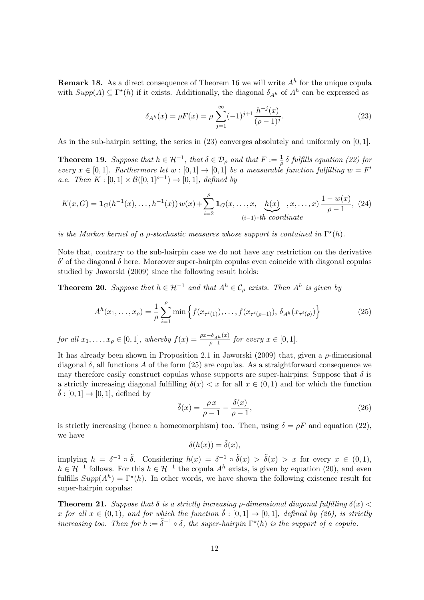**Remark 18.** As a direct consequence of Theorem 16 we will write *A<sup>h</sup>* for the unique copula with  $Supp(A) \subseteq \Gamma^*(h)$  if it exists. Additionally, the diagonal  $\delta_{A^h}$  of  $A^h$  can be expressed as

$$
\delta_{A^h}(x) = \rho F(x) = \rho \sum_{j=1}^{\infty} (-1)^{j+1} \frac{h^{-j}(x)}{(\rho - 1)^j}.
$$
 (23)

As in the sub-hairpin setting, the series in (23) converges absolutely and uniformly on [0*,* 1].

**Theorem 19.** *Suppose that*  $h \in H^{-1}$ , *that*  $\delta \in \mathcal{D}_{\rho}$  *and that*  $F := \frac{1}{\rho} \delta$  *fulfills equation (22) for every*  $x \in [0,1]$ *. Furthermore let*  $w : [0,1] \to [0,1]$  *be a measurable function fulfilling*  $w = F'$ *a.e. Then*  $K : [0,1] \times \mathcal{B}([0,1]^{p-1}) \to [0,1]$ *, defined by* 

$$
K(x, G) = \mathbf{1}_G(h^{-1}(x), \dots, h^{-1}(x)) w(x) + \sum_{i=2}^{\rho} \mathbf{1}_G(x, \dots, x, \underbrace{h(x)}_{(i-1)-th \ coordinate}, x, \dots, x) \frac{1 - w(x)}{\rho - 1}, (24)
$$

*is the Markov kernel of a*  $\rho$ *-stochastic measures whose support is contained in*  $\Gamma^*(h)$ *.* 

Note that, contrary to the sub-hairpin case we do not have any restriction on the derivative *δ ′* of the diagonal *δ* here. Moreover super-hairpin copulas even coincide with diagonal copulas studied by Jaworski (2009) since the following result holds:

**Theorem 20.** Suppose that  $h \in \mathcal{H}^{-1}$  and that  $A^h \in \mathcal{C}_{\rho}$  exists. Then  $A^h$  is given by

$$
A^{h}(x_{1},...,x_{\rho}) = \frac{1}{\rho} \sum_{i=1}^{\rho} \min \left\{ f(x_{\tau^{i}(1)}),...,f(x_{\tau^{i}(\rho-1)}), \delta_{A^{h}}(x_{\tau^{i}(\rho)}) \right\}
$$
(25)

for all  $x_1, \ldots, x_\rho \in [0, 1]$ , whereby  $f(x) = \frac{\rho x - \delta_{A_h}(x)}{\rho - 1}$  for every  $x \in [0, 1]$ .

It has already been shown in Proposition 2.1 in Jaworski (2009) that, given a *ρ*-dimensional diagonal  $\delta$ , all functions A of the form (25) are copulas. As a straightforward consequence we may therefore easily construct copulas whose supports are super-hairpins: Suppose that  $\delta$  is a strictly increasing diagonal fulfilling  $\delta(x) < x$  for all  $x \in (0,1)$  and for which the function  $\delta$  : [0, 1]  $\rightarrow$  [0, 1], defined by

$$
\tilde{\delta}(x) = \frac{\rho x}{\rho - 1} - \frac{\delta(x)}{\rho - 1},\tag{26}
$$

is strictly increasing (hence a homeomorphism) too. Then, using  $\delta = \rho F$  and equation (22), we have

$$
\delta(h(x)) = \tilde{\delta}(x),
$$

implying  $h = \delta^{-1} \circ \tilde{\delta}$ . Considering  $h(x) = \delta^{-1} \circ \tilde{\delta}(x) > \tilde{\delta}(x) > x$  for every  $x \in (0,1)$ , *h* ∈  $H^{-1}$  follows. For this  $h \in H^{-1}$  the copula  $A^h$  exists, is given by equation (20), and even fulfills  $Supp(A^h) = \Gamma^*(h)$ . In other words, we have shown the following existence result for super-hairpin copulas:

**Theorem 21.** *Suppose that*  $\delta$  *is a strictly increasing p-dimensional diagonal fulfilling*  $\delta(x)$   $\leq$ *x* for all  $x \in (0,1)$ *, and for which the function*  $\tilde{\delta} : [0,1] \rightarrow [0,1]$ *, defined by (26), is strictly increasing too. Then for*  $h := \tilde{\delta}^{-1} \circ \delta$ , the super-hairpin  $\Gamma^*(h)$  is the support of a copula.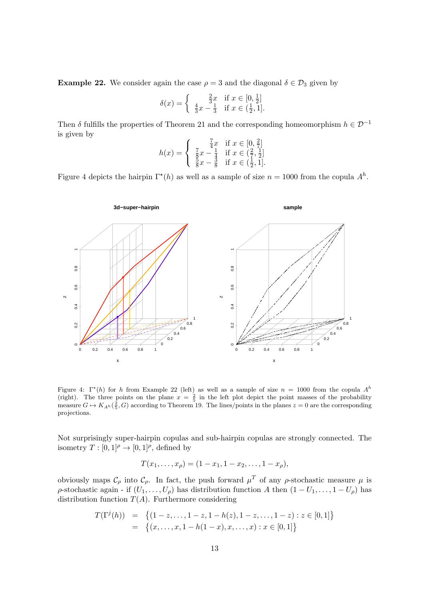**Example 22.** We consider again the case  $\rho = 3$  and the diagonal  $\delta \in \mathcal{D}_3$  given by

$$
\delta(x) = \begin{cases} \frac{2}{3}x & \text{if } x \in [0, \frac{1}{2}]\\ \frac{4}{3}x - \frac{1}{3} & \text{if } x \in (\frac{1}{2}, 1]. \end{cases}
$$

Then  $\delta$  fulfills the properties of Theorem 21 and the corresponding homeomorphism  $h \in \mathcal{D}^{-1}$ is given by

$$
h(x) = \begin{cases} \frac{7}{4}x & \text{if } x \in [0, \frac{2}{7}]\\ \frac{7}{8}x - \frac{1}{4} & \text{if } x \in (\frac{2}{7}, \frac{1}{2}]\\ \frac{5}{8}x - \frac{3}{8} & \text{if } x \in (\frac{1}{2}, 1]. \end{cases}
$$

Figure 4 depicts the hairpin  $\Gamma^*(h)$  as well as a sample of size  $n = 1000$  from the copula  $A^h$ .



Figure 4:  $\Gamma^*(h)$  for *h* from Example 22 (left) as well as a sample of size  $n = 1000$  from the copula  $A^h$ (right). The three points on the plane  $x = \frac{2}{5}$  in the left plot depict the point masses of the probability measure  $G \mapsto K_{A^h}(\frac{2}{5}, G)$  according to Theorem 19. The lines/points in the planes  $z = 0$  are the corresponding projections.

Not surprisingly super-hairpin copulas and sub-hairpin copulas are strongly connected. The isometry  $T : [0,1]^\rho \to [0,1]^\rho$ , defined by

$$
T(x_1,\ldots,x_\rho)=(1-x_1,1-x_2,\ldots,1-x_\rho),
$$

obviously maps  $\mathcal{C}_{\rho}$  into  $\mathcal{C}_{\rho}$ . In fact, the push forward  $\mu^T$  of any  $\rho$ -stochastic measure  $\mu$  is  $\rho$ -stochastic again - if  $(U_1, \ldots, U_\rho)$  has distribution function *A* then  $(1-U_1, \ldots, 1-U_\rho)$  has distribution function  $T(A)$ . Furthermore considering

$$
T(\Gamma^j(h)) = \{(1-z,\ldots,1-z,1-h(z),1-z,\ldots,1-z):z\in[0,1]\}
$$
  
=  $\{(x,\ldots,x,1-h(1-x),x,\ldots,x):x\in[0,1]\}$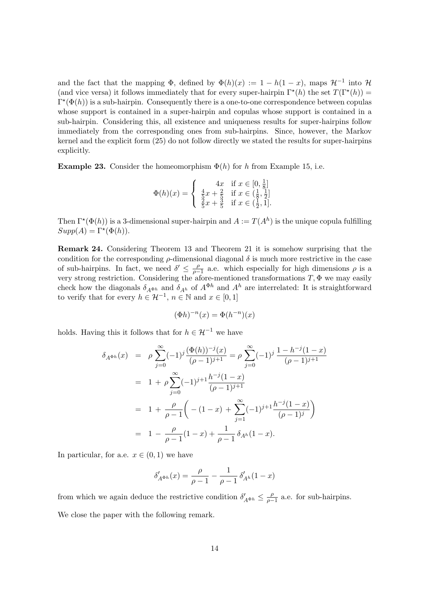and the fact that the mapping  $\Phi$ , defined by  $\Phi(h)(x) := 1 - h(1 - x)$ , maps  $\mathcal{H}^{-1}$  into  $\mathcal{H}$ (and vice versa) it follows immediately that for every super-hairpin  $\Gamma^*(h)$  the set  $T(\Gamma^*(h))$  =  $\Gamma^{\star}(\Phi(h))$  is a sub-hairpin. Consequently there is a one-to-one correspondence between copulas whose support is contained in a super-hairpin and copulas whose support is contained in a sub-hairpin. Considering this, all existence and uniqueness results for super-hairpins follow immediately from the corresponding ones from sub-hairpins. Since, however, the Markov kernel and the explicit form (25) do not follow directly we stated the results for super-hairpins explicitly.

**Example 23.** Consider the homeomorphism  $\Phi(h)$  for *h* from Example 15, i.e.

$$
\Phi(h)(x) = \begin{cases} 4x & \text{if } x \in [0, \frac{1}{8}] \\ \frac{4}{5}x + \frac{2}{5} & \text{if } x \in (\frac{1}{8}, \frac{1}{2}] \\ \frac{2}{5}x + \frac{3}{5} & \text{if } x \in (\frac{1}{2}, 1]. \end{cases}
$$

Then  $\Gamma^*(\Phi(h))$  is a 3-dimensional super-hairpin and  $A := T(A^h)$  is the unique copula fulfilling  $Supp(A) = \Gamma^*(\Phi(h)).$ 

**Remark 24.** Considering Theorem 13 and Theorem 21 it is somehow surprising that the condition for the corresponding  $\rho$ -dimensional diagonal  $\delta$  is much more restrictive in the case of sub-hairpins. In fact, we need  $\delta' \leq \frac{\rho}{\rho}$  $\frac{\rho}{\rho-1}$  a.e. which especially for high dimensions  $\rho$  is a very strong restriction. Considering the afore-mentioned transformations *T,* Φ we may easily check how the diagonals  $\delta_{A^{\Phi h}}$  and  $\delta_{A^h}$  of  $A^{\Phi h}$  and  $A^h$  are interrelated: It is straightforward to verify that for every  $h \in \mathcal{H}^{-1}$ ,  $n \in \mathbb{N}$  and  $x \in [0, 1]$ 

$$
(\Phi h)^{-n}(x) = \Phi(h^{-n})(x)
$$

holds. Having this it follows that for  $h \in \mathcal{H}^{-1}$  we have

$$
\delta_{A^{\Phi h}}(x) = \rho \sum_{j=0}^{\infty} (-1)^j \frac{(\Phi(h))^{-j}(x)}{(\rho - 1)^{j+1}} = \rho \sum_{j=0}^{\infty} (-1)^j \frac{1 - h^{-j}(1 - x)}{(\rho - 1)^{j+1}}
$$
  
\n
$$
= 1 + \rho \sum_{j=0}^{\infty} (-1)^{j+1} \frac{h^{-j}(1 - x)}{(\rho - 1)^{j+1}}
$$
  
\n
$$
= 1 + \frac{\rho}{\rho - 1} \left( -(1 - x) + \sum_{j=1}^{\infty} (-1)^{j+1} \frac{h^{-j}(1 - x)}{(\rho - 1)^j} \right)
$$
  
\n
$$
= 1 - \frac{\rho}{\rho - 1} (1 - x) + \frac{1}{\rho - 1} \delta_{A^h} (1 - x).
$$

In particular, for a.e.  $x \in (0,1)$  we have

$$
\delta'_{A^{\Phi h}}(x)=\frac{\rho}{\rho-1}-\frac{1}{\rho-1}\,\delta'_{A^h}(1-x)
$$

from which we again deduce the restrictive condition  $\delta'_{A^{\Phi h}} \leq \frac{\rho}{\rho - 1}$  $\frac{\rho}{\rho-1}$  a.e. for sub-hairpins. We close the paper with the following remark.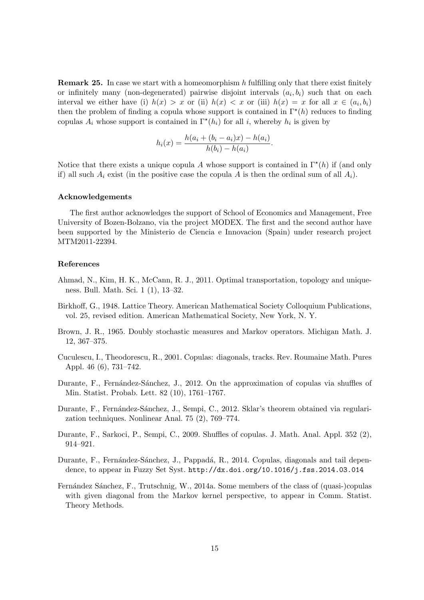**Remark 25.** In case we start with a homeomorphism *h* fulfilling only that there exist finitely or infinitely many (non-degenerated) pairwise disjoint intervals  $(a_i, b_i)$  such that on each interval we either have (i)  $h(x) > x$  or (ii)  $h(x) < x$  or (iii)  $h(x) = x$  for all  $x \in (a_i, b_i)$ then the problem of finding a copula whose support is contained in Γ*<sup>⋆</sup>* (*h*) reduces to finding copulas  $A_i$  whose support is contained in  $\Gamma^*(h_i)$  for all *i*, whereby  $h_i$  is given by

$$
h_i(x) = \frac{h(a_i + (b_i - a_i)x) - h(a_i)}{h(b_i) - h(a_i)}.
$$

Notice that there exists a unique copula A whose support is contained in  $\Gamma^*(h)$  if (and only if) all such  $A_i$  exist (in the positive case the copula  $A$  is then the ordinal sum of all  $A_i$ ).

#### **Acknowledgements**

The first author acknowledges the support of School of Economics and Management, Free University of Bozen-Bolzano, via the project MODEX. The first and the second author have been supported by the Ministerio de Ciencia e Innovacion (Spain) under research project MTM2011-22394.

## **References**

- Ahmad, N., Kim, H. K., McCann, R. J., 2011. Optimal transportation, topology and uniqueness. Bull. Math. Sci. 1 (1), 13–32.
- Birkhoff, G., 1948. Lattice Theory. American Mathematical Society Colloquium Publications, vol. 25, revised edition. American Mathematical Society, New York, N. Y.
- Brown, J. R., 1965. Doubly stochastic measures and Markov operators. Michigan Math. J. 12, 367–375.
- Cuculescu, I., Theodorescu, R., 2001. Copulas: diagonals, tracks. Rev. Roumaine Math. Pures Appl. 46 (6), 731–742.
- Durante, F., Fernández-Sánchez, J., 2012. On the approximation of copulas via shuffles of Min. Statist. Probab. Lett. 82 (10), 1761–1767.
- Durante, F., Fernández-Sánchez, J., Sempi, C., 2012. Sklar's theorem obtained via regularization techniques. Nonlinear Anal. 75 (2), 769–774.
- Durante, F., Sarkoci, P., Sempi, C., 2009. Shuffles of copulas. J. Math. Anal. Appl. 352 (2), 914–921.
- Durante, F., Fernández-Sánchez, J., Pappadá, R., 2014. Copulas, diagonals and tail dependence, to appear in Fuzzy Set Syst. http://dx.doi.org/10.1016/j.fss.2014.03.014
- Fernández Sánchez, F., Trutschnig, W., 2014a. Some members of the class of (quasi-)copulas with given diagonal from the Markov kernel perspective, to appear in Comm. Statist. Theory Methods.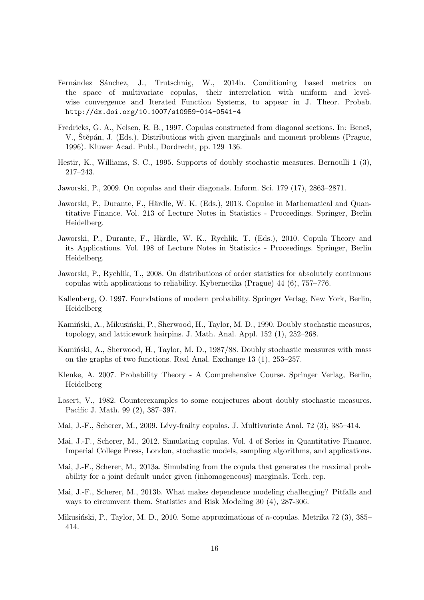- Fernández Sánchez, J., Trutschnig, W., 2014b. Conditioning based metrics on the space of multivariate copulas, their interrelation with uniform and levelwise convergence and Iterated Function Systems, to appear in J. Theor. Probab. http://dx.doi.org/10.1007/s10959-014-0541-4
- Fredricks, G. A., Nelsen, R. B., 1997. Copulas constructed from diagonal sections. In: Beneš, V., Štěpán, J. (Eds.), Distributions with given marginals and moment problems (Prague, 1996). Kluwer Acad. Publ., Dordrecht, pp. 129–136.
- Hestir, K., Williams, S. C., 1995. Supports of doubly stochastic measures. Bernoulli 1 (3), 217–243.
- Jaworski, P., 2009. On copulas and their diagonals. Inform. Sci. 179 (17), 2863–2871.
- Jaworski, P., Durante, F., Härdle, W. K. (Eds.), 2013. Copulae in Mathematical and Quantitative Finance. Vol. 213 of Lecture Notes in Statistics - Proceedings. Springer, Berlin Heidelberg.
- Jaworski, P., Durante, F., Härdle, W. K., Rychlik, T. (Eds.), 2010. Copula Theory and its Applications. Vol. 198 of Lecture Notes in Statistics - Proceedings. Springer, Berlin Heidelberg.
- Jaworski, P., Rychlik, T., 2008. On distributions of order statistics for absolutely continuous copulas with applications to reliability. Kybernetika (Prague) 44 (6), 757–776.
- Kallenberg, O. 1997. Foundations of modern probability. Springer Verlag, New York, Berlin, Heidelberg
- Kamiński, A., Mikusiński, P., Sherwood, H., Taylor, M. D., 1990. Doubly stochastic measures, topology, and latticework hairpins. J. Math. Anal. Appl. 152 (1), 252–268.
- Kaminski, A., Sherwood, H., Taylor, M. D., 1987/88. Doubly stochastic measures with mass on the graphs of two functions. Real Anal. Exchange 13 (1), 253–257.
- Klenke, A. 2007. Probability Theory A Comprehensive Course. Springer Verlag, Berlin, Heidelberg
- Losert, V., 1982. Counterexamples to some conjectures about doubly stochastic measures. Pacific J. Math. 99 (2), 387–397.
- Mai, J.-F., Scherer, M., 2009. Lévy-frailty copulas. J. Multivariate Anal. 72 (3), 385–414.
- Mai, J.-F., Scherer, M., 2012. Simulating copulas. Vol. 4 of Series in Quantitative Finance. Imperial College Press, London, stochastic models, sampling algorithms, and applications.
- Mai, J.-F., Scherer, M., 2013a. Simulating from the copula that generates the maximal probability for a joint default under given (inhomogeneous) marginals. Tech. rep.
- Mai, J.-F., Scherer, M., 2013b. What makes dependence modeling challenging? Pitfalls and ways to circumvent them. Statistics and Risk Modeling 30 (4), 287-306.
- Mikusiński, P., Taylor, M. D., 2010. Some approximations of *n*-copulas. Metrika 72 (3), 385– 414.